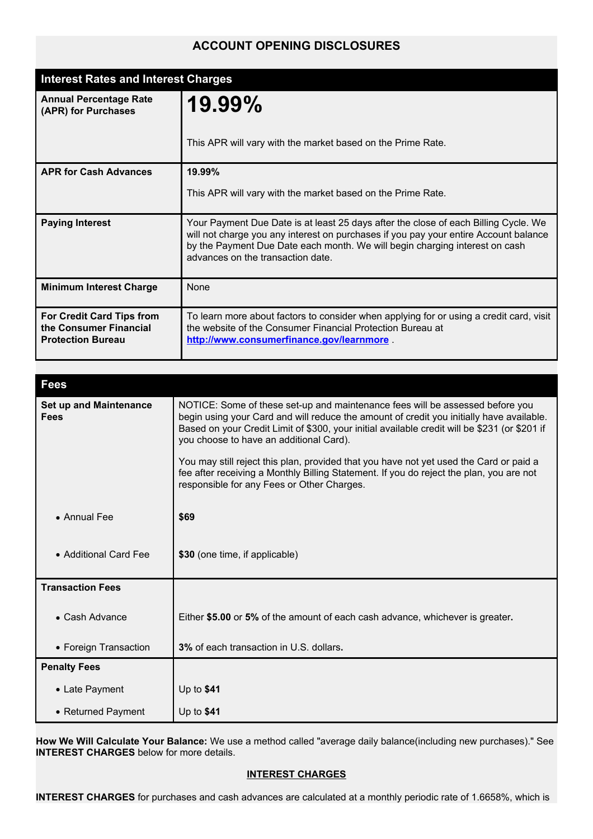# **ACCOUNT OPENING DISCLOSURES**

| <b>Interest Rates and Interest Charges</b>                                             |                                                                                                                                                                                                                                                                                                 |
|----------------------------------------------------------------------------------------|-------------------------------------------------------------------------------------------------------------------------------------------------------------------------------------------------------------------------------------------------------------------------------------------------|
| <b>Annual Percentage Rate</b><br>(APR) for Purchases                                   | 19.99%                                                                                                                                                                                                                                                                                          |
|                                                                                        | This APR will vary with the market based on the Prime Rate.                                                                                                                                                                                                                                     |
| <b>APR for Cash Advances</b>                                                           | 19.99%                                                                                                                                                                                                                                                                                          |
|                                                                                        | This APR will vary with the market based on the Prime Rate.                                                                                                                                                                                                                                     |
| <b>Paying Interest</b>                                                                 | Your Payment Due Date is at least 25 days after the close of each Billing Cycle. We<br>will not charge you any interest on purchases if you pay your entire Account balance<br>by the Payment Due Date each month. We will begin charging interest on cash<br>advances on the transaction date. |
| <b>Minimum Interest Charge</b>                                                         | None                                                                                                                                                                                                                                                                                            |
| <b>For Credit Card Tips from</b><br>the Consumer Financial<br><b>Protection Bureau</b> | To learn more about factors to consider when applying for or using a credit card, visit<br>the website of the Consumer Financial Protection Bureau at<br>http://www.consumerfinance.gov/learnmore                                                                                               |

| <b>Fees</b>                                  |                                                                                                                                                                                                                                                                                                                       |
|----------------------------------------------|-----------------------------------------------------------------------------------------------------------------------------------------------------------------------------------------------------------------------------------------------------------------------------------------------------------------------|
| <b>Set up and Maintenance</b><br><b>Fees</b> | NOTICE: Some of these set-up and maintenance fees will be assessed before you<br>begin using your Card and will reduce the amount of credit you initially have available.<br>Based on your Credit Limit of \$300, your initial available credit will be \$231 (or \$201 if<br>you choose to have an additional Card). |
|                                              | You may still reject this plan, provided that you have not yet used the Card or paid a<br>fee after receiving a Monthly Billing Statement. If you do reject the plan, you are not<br>responsible for any Fees or Other Charges.                                                                                       |
| • Annual Fee                                 | \$69                                                                                                                                                                                                                                                                                                                  |
| • Additional Card Fee                        | \$30 (one time, if applicable)                                                                                                                                                                                                                                                                                        |
| <b>Transaction Fees</b>                      |                                                                                                                                                                                                                                                                                                                       |
| • Cash Advance                               | Either \$5.00 or 5% of the amount of each cash advance, whichever is greater.                                                                                                                                                                                                                                         |
| • Foreign Transaction                        | 3% of each transaction in U.S. dollars.                                                                                                                                                                                                                                                                               |
| <b>Penalty Fees</b>                          |                                                                                                                                                                                                                                                                                                                       |
| • Late Payment                               | Up to \$41                                                                                                                                                                                                                                                                                                            |
| • Returned Payment                           | Up to $$41$                                                                                                                                                                                                                                                                                                           |

**How We Will Calculate Your Balance:** We use a method called "average daily balance(including new purchases)." See **INTEREST CHARGES** below for more details.

# **INTEREST CHARGES**

**INTEREST CHARGES** for purchases and cash advances are calculated at a monthly periodic rate of 1.6658%, which is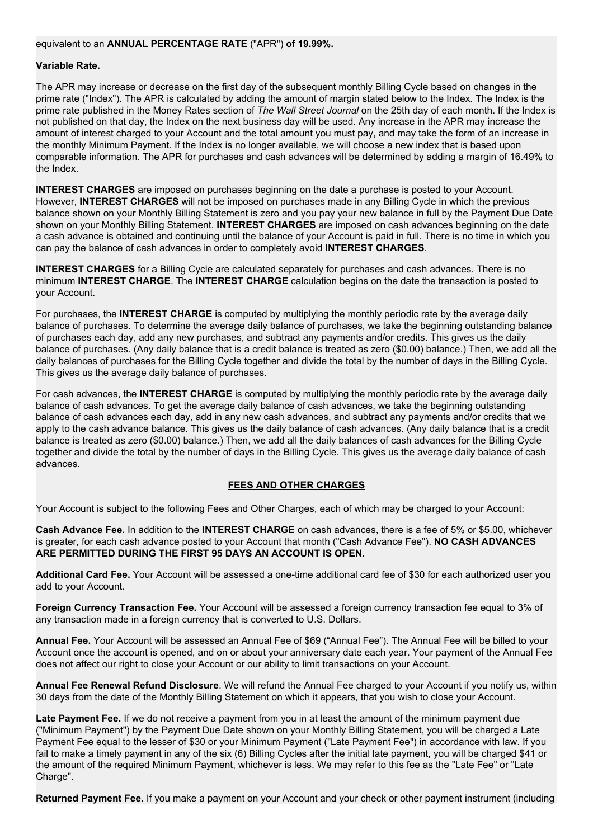#### equivalent to an **ANNUAL PERCENTAGE RATE** ("APR") **of 19.99%.**

#### **Variable Rate.**

The APR may increase or decrease on the first day of the subsequent monthly Billing Cycle based on changes in the prime rate ("Index"). The APR is calculated by adding the amount of margin stated below to the Index. The Index is the prime rate published in the Money Rates section of *The Wall Street Journal* on the 25th day of each month. If the Index is not published on that day, the Index on the next business day will be used. Any increase in the APR may increase the amount of interest charged to your Account and the total amount you must pay, and may take the form of an increase in the monthly Minimum Payment. If the Index is no longer available, we will choose a new index that is based upon comparable information. The APR for purchases and cash advances will be determined by adding a margin of 16.49% to the Index.

**INTEREST CHARGES** are imposed on purchases beginning on the date a purchase is posted to your Account. However, **INTEREST CHARGES** will not be imposed on purchases made in any Billing Cycle in which the previous balance shown on your Monthly Billing Statement is zero and you pay your new balance in full by the Payment Due Date shown on your Monthly Billing Statement. **INTEREST CHARGES** are imposed on cash advances beginning on the date a cash advance is obtained and continuing until the balance of your Account is paid in full. There is no time in which you can pay the balance of cash advances in order to completely avoid **INTEREST CHARGES**.

**INTEREST CHARGES** for a Billing Cycle are calculated separately for purchases and cash advances. There is no minimum **INTEREST CHARGE**. The **INTEREST CHARGE** calculation begins on the date the transaction is posted to your Account.

For purchases, the **INTEREST CHARGE** is computed by multiplying the monthly periodic rate by the average daily balance of purchases. To determine the average daily balance of purchases, we take the beginning outstanding balance of purchases each day, add any new purchases, and subtract any payments and/or credits. This gives us the daily balance of purchases. (Any daily balance that is a credit balance is treated as zero (\$0.00) balance.) Then, we add all the daily balances of purchases for the Billing Cycle together and divide the total by the number of days in the Billing Cycle. This gives us the average daily balance of purchases.

For cash advances, the **INTEREST CHARGE** is computed by multiplying the monthly periodic rate by the average daily balance of cash advances. To get the average daily balance of cash advances, we take the beginning outstanding balance of cash advances each day, add in any new cash advances, and subtract any payments and/or credits that we apply to the cash advance balance. This gives us the daily balance of cash advances. (Any daily balance that is a credit balance is treated as zero (\$0.00) balance.) Then, we add all the daily balances of cash advances for the Billing Cycle together and divide the total by the number of days in the Billing Cycle. This gives us the average daily balance of cash advances.

### **FEES AND OTHER CHARGES**

Your Account is subject to the following Fees and Other Charges, each of which may be charged to your Account:

**Cash Advance Fee.** In addition to the **INTEREST CHARGE** on cash advances, there is a fee of 5% or \$5.00, whichever is greater, for each cash advance posted to your Account that month ("Cash Advance Fee"). **NO CASH ADVANCES ARE PERMITTED DURING THE FIRST 95 DAYS AN ACCOUNT IS OPEN.**

**Additional Card Fee.** Your Account will be assessed a one-time additional card fee of \$30 for each authorized user you add to your Account.

**Foreign Currency Transaction Fee.** Your Account will be assessed a foreign currency transaction fee equal to 3% of any transaction made in a foreign currency that is converted to U.S. Dollars.

**Annual Fee.** Your Account will be assessed an Annual Fee of \$69 ("Annual Fee"). The Annual Fee will be billed to your Account once the account is opened, and on or about your anniversary date each year. Your payment of the Annual Fee does not affect our right to close your Account or our ability to limit transactions on your Account.

**Annual Fee Renewal Refund Disclosure**. We will refund the Annual Fee charged to your Account if you notify us, within 30 days from the date of the Monthly Billing Statement on which it appears, that you wish to close your Account.

**Late Payment Fee.** If we do not receive a payment from you in at least the amount of the minimum payment due ("Minimum Payment") by the Payment Due Date shown on your Monthly Billing Statement, you will be charged a Late Payment Fee equal to the lesser of \$30 or your Minimum Payment ("Late Payment Fee") in accordance with law. If you fail to make a timely payment in any of the six (6) Billing Cycles after the initial late payment, you will be charged \$41 or the amount of the required Minimum Payment, whichever is less. We may refer to this fee as the "Late Fee" or "Late Charge".

**Returned Payment Fee.** If you make a payment on your Account and your check or other payment instrument (including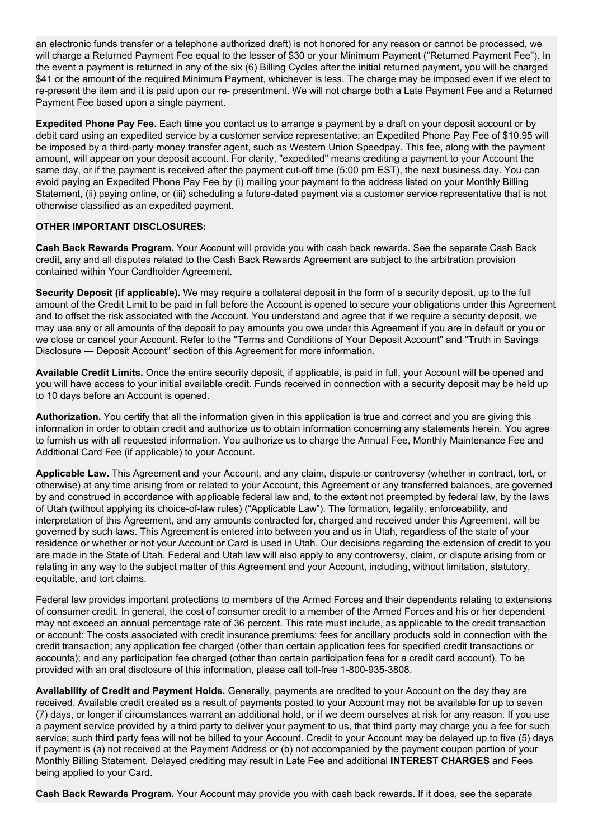an electronic funds transfer or a telephone authorized draft) is not honored for any reason or cannot be processed, we will charge a Returned Payment Fee equal to the lesser of \$30 or your Minimum Payment ("Returned Payment Fee"). In the event a payment is returned in any of the six (6) Billing Cycles after the initial returned payment, you will be charged \$41 or the amount of the required Minimum Payment, whichever is less. The charge may be imposed even if we elect to re-present the item and it is paid upon our re- presentment. We will not charge both a Late Payment Fee and a Returned Payment Fee based upon a single payment.

**Expedited Phone Pay Fee.** Each time you contact us to arrange a payment by a draft on your deposit account or by debit card using an expedited service by a customer service representative; an Expedited Phone Pay Fee of \$10.95 will be imposed by a third-party money transfer agent, such as Western Union Speedpay. This fee, along with the payment amount, will appear on your deposit account. For clarity, "expedited" means crediting a payment to your Account the same day, or if the payment is received after the payment cut-off time (5:00 pm EST), the next business day. You can avoid paying an Expedited Phone Pay Fee by (i) mailing your payment to the address listed on your Monthly Billing Statement, (ii) paying online, or (iii) scheduling a future-dated payment via a customer service representative that is not otherwise classified as an expedited payment.

### **OTHER IMPORTANT DISCLOSURES:**

**Cash Back Rewards Program.** Your Account will provide you with cash back rewards. See the separate Cash Back credit, any and all disputes related to the Cash Back Rewards Agreement are subject to the arbitration provision contained within Your Cardholder Agreement.

**Security Deposit (if applicable).** We may require a collateral deposit in the form of a security deposit, up to the full amount of the Credit Limit to be paid in full before the Account is opened to secure your obligations under this Agreement and to offset the risk associated with the Account. You understand and agree that if we require a security deposit, we may use any or all amounts of the deposit to pay amounts you owe under this Agreement if you are in default or you or we close or cancel your Account. Refer to the "Terms and Conditions of Your Deposit Account" and "Truth in Savings Disclosure — Deposit Account" section of this Agreement for more information.

**Available Credit Limits.** Once the entire security deposit, if applicable, is paid in full, your Account will be opened and you will have access to your initial available credit. Funds received in connection with a security deposit may be held up to 10 days before an Account is opened.

**Authorization.** You certify that all the information given in this application is true and correct and you are giving this information in order to obtain credit and authorize us to obtain information concerning any statements herein. You agree to furnish us with all requested information. You authorize us to charge the Annual Fee, Monthly Maintenance Fee and Additional Card Fee (if applicable) to your Account.

**Applicable Law.** This Agreement and your Account, and any claim, dispute or controversy (whether in contract, tort, or otherwise) at any time arising from or related to your Account, this Agreement or any transferred balances, are governed by and construed in accordance with applicable federal law and, to the extent not preempted by federal law, by the laws of Utah (without applying its choice-of-law rules) ("Applicable Law"). The formation, legality, enforceability, and interpretation of this Agreement, and any amounts contracted for, charged and received under this Agreement, will be governed by such laws. This Agreement is entered into between you and us in Utah, regardless of the state of your residence or whether or not your Account or Card is used in Utah. Our decisions regarding the extension of credit to you are made in the State of Utah. Federal and Utah law will also apply to any controversy, claim, or dispute arising from or relating in any way to the subject matter of this Agreement and your Account, including, without limitation, statutory, equitable, and tort claims.

Federal law provides important protections to members of the Armed Forces and their dependents relating to extensions of consumer credit. In general, the cost of consumer credit to a member of the Armed Forces and his or her dependent may not exceed an annual percentage rate of 36 percent. This rate must include, as applicable to the credit transaction or account: The costs associated with credit insurance premiums; fees for ancillary products sold in connection with the credit transaction; any application fee charged (other than certain application fees for specified credit transactions or accounts); and any participation fee charged (other than certain participation fees for a credit card account). To be provided with an oral disclosure of this information, please call toll-free 1-800-935-3808.

**Availability of Credit and Payment Holds.** Generally, payments are credited to your Account on the day they are received. Available credit created as a result of payments posted to your Account may not be available for up to seven (7) days, or longer if circumstances warrant an additional hold, or if we deem ourselves at risk for any reason. If you use a payment service provided by a third party to deliver your payment to us, that third party may charge you a fee for such service; such third party fees will not be billed to your Account. Credit to your Account may be delayed up to five (5) days if payment is (a) not received at the Payment Address or (b) not accompanied by the payment coupon portion of your Monthly Billing Statement. Delayed crediting may result in Late Fee and additional **INTEREST CHARGES** and Fees being applied to your Card.

**Cash Back Rewards Program.** Your Account may provide you with cash back rewards. If it does, see the separate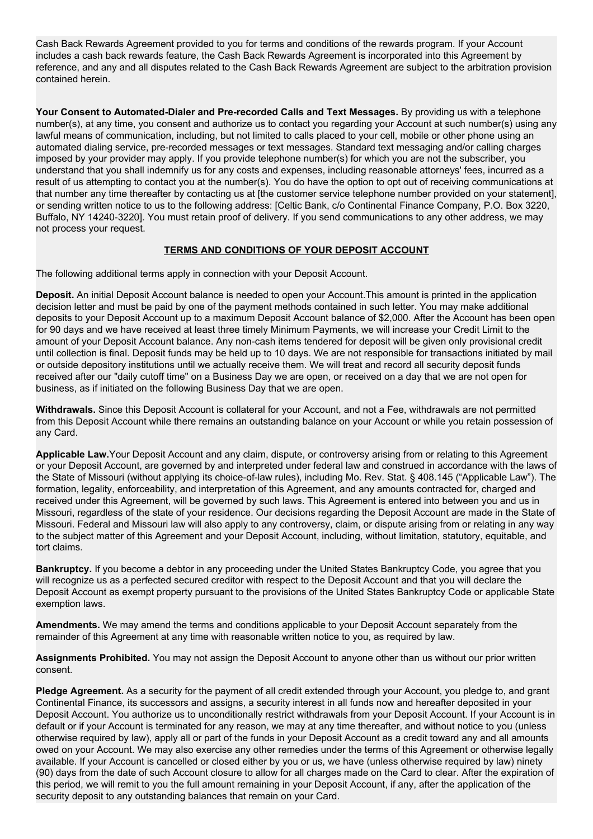Cash Back Rewards Agreement provided to you for terms and conditions of the rewards program. If your Account includes a cash back rewards feature, the Cash Back Rewards Agreement is incorporated into this Agreement by reference, and any and all disputes related to the Cash Back Rewards Agreement are subject to the arbitration provision contained herein.

**Your Consent to Automated-Dialer and Pre-recorded Calls and Text Messages.** By providing us with a telephone number(s), at any time, you consent and authorize us to contact you regarding your Account at such number(s) using any lawful means of communication, including, but not limited to calls placed to your cell, mobile or other phone using an automated dialing service, pre-recorded messages or text messages. Standard text messaging and/or calling charges imposed by your provider may apply. If you provide telephone number(s) for which you are not the subscriber, you understand that you shall indemnify us for any costs and expenses, including reasonable attorneys' fees, incurred as a result of us attempting to contact you at the number(s). You do have the option to opt out of receiving communications at that number any time thereafter by contacting us at [the customer service telephone number provided on your statement], or sending written notice to us to the following address: [Celtic Bank, c/o Continental Finance Company, P.O. Box 3220, Buffalo, NY 14240-3220]. You must retain proof of delivery. If you send communications to any other address, we may not process your request.

## **TERMS AND CONDITIONS OF YOUR DEPOSIT ACCOUNT**

The following additional terms apply in connection with your Deposit Account.

**Deposit.** An initial Deposit Account balance is needed to open your Account.This amount is printed in the application decision letter and must be paid by one of the payment methods contained in such letter. You may make additional deposits to your Deposit Account up to a maximum Deposit Account balance of \$2,000. After the Account has been open for 90 days and we have received at least three timely Minimum Payments, we will increase your Credit Limit to the amount of your Deposit Account balance. Any non-cash items tendered for deposit will be given only provisional credit until collection is final. Deposit funds may be held up to 10 days. We are not responsible for transactions initiated by mail or outside depository institutions until we actually receive them. We will treat and record all security deposit funds received after our "daily cutoff time" on a Business Day we are open, or received on a day that we are not open for business, as if initiated on the following Business Day that we are open.

**Withdrawals.** Since this Deposit Account is collateral for your Account, and not a Fee, withdrawals are not permitted from this Deposit Account while there remains an outstanding balance on your Account or while you retain possession of any Card.

**Applicable Law.**Your Deposit Account and any claim, dispute, or controversy arising from or relating to this Agreement or your Deposit Account, are governed by and interpreted under federal law and construed in accordance with the laws of the State of Missouri (without applying its choice-of-law rules), including Mo. Rev. Stat. § 408.145 ("Applicable Law"). The formation, legality, enforceability, and interpretation of this Agreement, and any amounts contracted for, charged and received under this Agreement, will be governed by such laws. This Agreement is entered into between you and us in Missouri, regardless of the state of your residence. Our decisions regarding the Deposit Account are made in the State of Missouri. Federal and Missouri law will also apply to any controversy, claim, or dispute arising from or relating in any way to the subject matter of this Agreement and your Deposit Account, including, without limitation, statutory, equitable, and tort claims.

**Bankruptcy.** If you become a debtor in any proceeding under the United States Bankruptcy Code, you agree that you will recognize us as a perfected secured creditor with respect to the Deposit Account and that you will declare the Deposit Account as exempt property pursuant to the provisions of the United States Bankruptcy Code or applicable State exemption laws.

**Amendments.** We may amend the terms and conditions applicable to your Deposit Account separately from the remainder of this Agreement at any time with reasonable written notice to you, as required by law.

**Assignments Prohibited.** You may not assign the Deposit Account to anyone other than us without our prior written consent.

Pledge Agreement. As a security for the payment of all credit extended through your Account, you pledge to, and grant Continental Finance, its successors and assigns, a security interest in all funds now and hereafter deposited in your Deposit Account. You authorize us to unconditionally restrict withdrawals from your Deposit Account. If your Account is in default or if your Account is terminated for any reason, we may at any time thereafter, and without notice to you (unless otherwise required by law), apply all or part of the funds in your Deposit Account as a credit toward any and all amounts owed on your Account. We may also exercise any other remedies under the terms of this Agreement or otherwise legally available. If your Account is cancelled or closed either by you or us, we have (unless otherwise required by law) ninety (90) days from the date of such Account closure to allow for all charges made on the Card to clear. After the expiration of this period, we will remit to you the full amount remaining in your Deposit Account, if any, after the application of the security deposit to any outstanding balances that remain on your Card.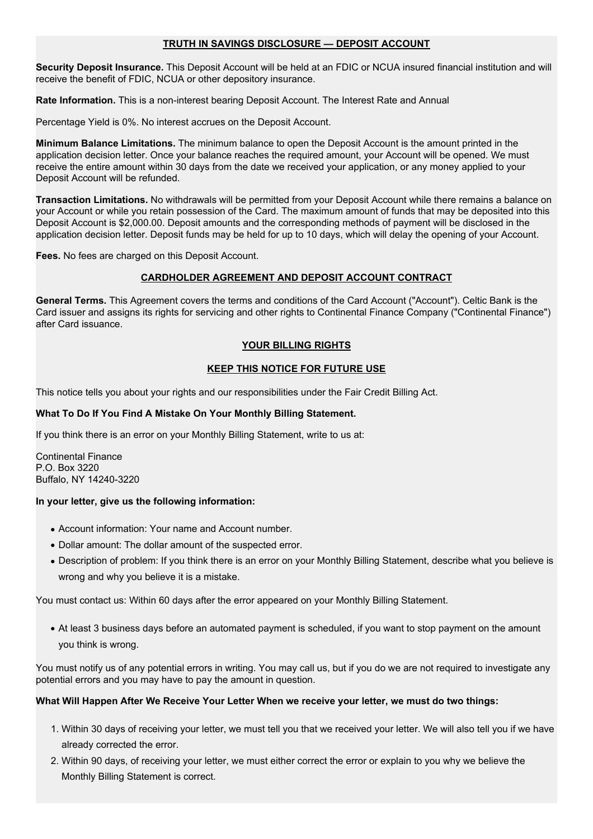### **TRUTH IN SAVINGS DISCLOSURE — DEPOSIT ACCOUNT**

**Security Deposit Insurance.** This Deposit Account will be held at an FDIC or NCUA insured financial institution and will receive the benefit of FDIC, NCUA or other depository insurance.

**Rate Information.** This is a non-interest bearing Deposit Account. The Interest Rate and Annual

Percentage Yield is 0%. No interest accrues on the Deposit Account.

**Minimum Balance Limitations.** The minimum balance to open the Deposit Account is the amount printed in the application decision letter. Once your balance reaches the required amount, your Account will be opened. We must receive the entire amount within 30 days from the date we received your application, or any money applied to your Deposit Account will be refunded.

**Transaction Limitations.** No withdrawals will be permitted from your Deposit Account while there remains a balance on your Account or while you retain possession of the Card. The maximum amount of funds that may be deposited into this Deposit Account is \$2,000.00. Deposit amounts and the corresponding methods of payment will be disclosed in the application decision letter. Deposit funds may be held for up to 10 days, which will delay the opening of your Account.

**Fees.** No fees are charged on this Deposit Account.

# **CARDHOLDER AGREEMENT AND DEPOSIT ACCOUNT CONTRACT**

**General Terms.** This Agreement covers the terms and conditions of the Card Account ("Account"). Celtic Bank is the Card issuer and assigns its rights for servicing and other rights to Continental Finance Company ("Continental Finance") after Card issuance.

# **YOUR BILLING RIGHTS**

# **KEEP THIS NOTICE FOR FUTURE USE**

This notice tells you about your rights and our responsibilities under the Fair Credit Billing Act.

### **What To Do If You Find A Mistake On Your Monthly Billing Statement.**

If you think there is an error on your Monthly Billing Statement, write to us at:

Continental Finance P.O. Box 3220 Buffalo, NY 14240-3220

### **In your letter, give us the following information:**

- Account information: Your name and Account number.
- Dollar amount: The dollar amount of the suspected error.
- Description of problem: If you think there is an error on your Monthly Billing Statement, describe what you believe is wrong and why you believe it is a mistake.

You must contact us: Within 60 days after the error appeared on your Monthly Billing Statement.

● At least 3 business days before an automated payment is scheduled, if you want to stop payment on the amount you think is wrong.

You must notify us of any potential errors in writing. You may call us, but if you do we are not required to investigate any potential errors and you may have to pay the amount in question.

### **What Will Happen After We Receive Your Letter When we receive your letter, we must do two things:**

- 1. Within 30 days of receiving your letter, we must tell you that we received your letter. We will also tell you if we have already corrected the error.
- 2. Within 90 days, of receiving your letter, we must either correct the error or explain to you why we believe the Monthly Billing Statement is correct.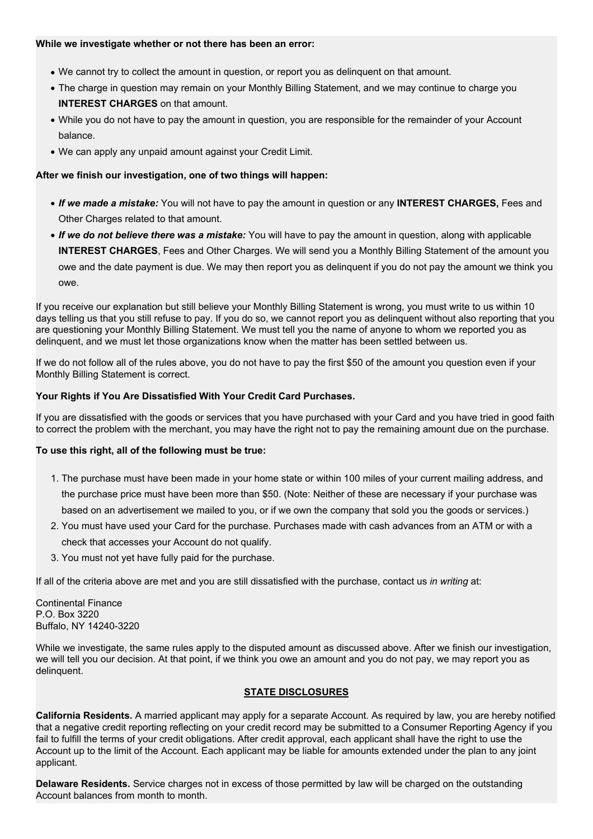#### **While we investigate whether or not there has been an error:**

- We cannot try to collect the amount in question, or report you as delinquent on that amount.
- The charge in question may remain on your Monthly Billing Statement, and we may continue to charge you **INTEREST CHARGES** on that amount.
- While you do not have to pay the amount in question, you are responsible for the remainder of your Account balance.
- We can apply any unpaid amount against your Credit Limit.

#### **After we finish our investigation, one of two things will happen:**

- *If we made a mistake:* You will not have to pay the amount in question or any **INTEREST CHARGES,** Fees and Other Charges related to that amount.
- *If we do not believe there was a mistake:* You will have to pay the amount in question, along with applicable **INTEREST CHARGES**, Fees and Other Charges. We will send you a Monthly Billing Statement of the amount you owe and the date payment is due. We may then report you as delinquent if you do not pay the amount we think you owe.

If you receive our explanation but still believe your Monthly Billing Statement is wrong, you must write to us within 10 days telling us that you still refuse to pay. If you do so, we cannot report you as delinquent without also reporting that you are questioning your Monthly Billing Statement. We must tell you the name of anyone to whom we reported you as delinquent, and we must let those organizations know when the matter has been settled between us.

If we do not follow all of the rules above, you do not have to pay the first \$50 of the amount you question even if your Monthly Billing Statement is correct.

#### **Your Rights if You Are Dissatisfied With Your Credit Card Purchases.**

If you are dissatisfied with the goods or services that you have purchased with your Card and you have tried in good faith to correct the problem with the merchant, you may have the right not to pay the remaining amount due on the purchase.

### **To use this right, all of the following must be true:**

- 1. The purchase must have been made in your home state or within 100 miles of your current mailing address, and the purchase price must have been more than \$50. (Note: Neither of these are necessary if your purchase was based on an advertisement we mailed to you, or if we own the company that sold you the goods or services.)
- 2. You must have used your Card for the purchase. Purchases made with cash advances from an ATM or with a check that accesses your Account do not qualify.
- 3. You must not yet have fully paid for the purchase.

If all of the criteria above are met and you are still dissatisfied with the purchase, contact us *in writing* at:

Continental Finance P.O. Box 3220 Buffalo, NY 14240-3220

While we investigate, the same rules apply to the disputed amount as discussed above. After we finish our investigation, we will tell you our decision. At that point, if we think you owe an amount and you do not pay, we may report you as delinquent.

### **STATE DISCLOSURES**

**California Residents.** A married applicant may apply for a separate Account. As required by law, you are hereby notified that a negative credit reporting reflecting on your credit record may be submitted to a Consumer Reporting Agency if you fail to fulfill the terms of your credit obligations. After credit approval, each applicant shall have the right to use the Account up to the limit of the Account. Each applicant may be liable for amounts extended under the plan to any joint applicant.

**Delaware Residents.** Service charges not in excess of those permitted by law will be charged on the outstanding Account balances from month to month.